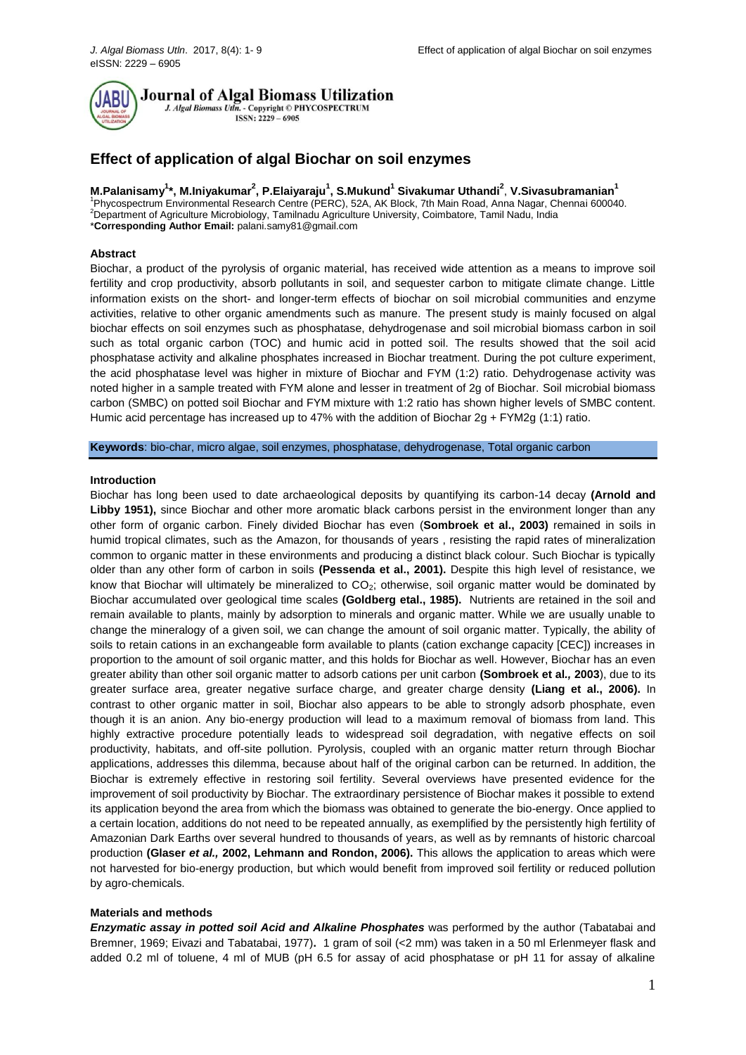

**Journal of Algal Biomass Utilization** 

J. Algal Biomass Utln. - Copyright © PHYCOSPECTRUM  $ISSN: 2229 - 6905$ 

# **Effect of application of algal Biochar on soil enzymes**

**M.Palanisamy<sup>1</sup> \*, M.Iniyakumar<sup>2</sup> , P.Elaiyaraju<sup>1</sup> , S.Mukund<sup>1</sup> Sivakumar Uthandi<sup>2</sup>** , **V.Sivasubramanian<sup>1</sup>** <sup>1</sup>Phycospectrum Environmental Research Centre (PERC), 52A, AK Block, 7th Main Road, Anna Nagar, Chennai 600040.

2Department of Agriculture Microbiology, Tamilnadu Agriculture University, Coimbatore, Tamil Nadu, India \***Corresponding Author Email:** palani.samy81@gmail.com

#### **Abstract**

Biochar, a product of the pyrolysis of organic material, has received wide attention as a means to improve soil fertility and crop productivity, absorb pollutants in soil, and sequester carbon to mitigate climate change. Little information exists on the short- and longer-term effects of biochar on soil microbial communities and enzyme activities, relative to other organic amendments such as manure. The present study is mainly focused on algal biochar effects on soil enzymes such as phosphatase, dehydrogenase and soil microbial biomass carbon in soil such as total organic carbon (TOC) and humic acid in potted soil. The results showed that the soil acid phosphatase activity and alkaline phosphates increased in Biochar treatment. During the pot culture experiment, the acid phosphatase level was higher in mixture of Biochar and FYM (1:2) ratio. Dehydrogenase activity was noted higher in a sample treated with FYM alone and lesser in treatment of 2g of Biochar. Soil microbial biomass carbon (SMBC) on potted soil Biochar and FYM mixture with 1:2 ratio has shown higher levels of SMBC content. Humic acid percentage has increased up to 47% with the addition of Biochar  $2g + FYM2g$  (1:1) ratio.

**Keywords**: bio-char, micro algae, soil enzymes, phosphatase, dehydrogenase, Total organic carbon

#### **Introduction**

Biochar has long been used to date archaeological deposits by quantifying its carbon-14 decay **(Arnold and Libby 1951),** since Biochar and other more aromatic black carbons persist in the environment longer than any other form of organic carbon. Finely divided Biochar has even (**Sombroek et al., 2003)** remained in soils in humid tropical climates, such as the Amazon, for thousands of years , resisting the rapid rates of mineralization common to organic matter in these environments and producing a distinct black colour. Such Biochar is typically older than any other form of carbon in soils **(Pessenda et al., 2001).** Despite this high level of resistance, we know that Biochar will ultimately be mineralized to  $CO<sub>2</sub>$ ; otherwise, soil organic matter would be dominated by Biochar accumulated over geological time scales **(Goldberg etal., 1985).** Nutrients are retained in the soil and remain available to plants, mainly by adsorption to minerals and organic matter. While we are usually unable to change the mineralogy of a given soil, we can change the amount of soil organic matter. Typically, the ability of soils to retain cations in an exchangeable form available to plants (cation exchange capacity [CEC]) increases in proportion to the amount of soil organic matter, and this holds for Biochar as well. However, Biochar has an even greater ability than other soil organic matter to adsorb cations per unit carbon **(Sombroek et al***.,* **2003**), due to its greater surface area, greater negative surface charge, and greater charge density **(Liang et al., 2006).** In contrast to other organic matter in soil, Biochar also appears to be able to strongly adsorb phosphate, even though it is an anion. Any bio-energy production will lead to a maximum removal of biomass from land. This highly extractive procedure potentially leads to widespread soil degradation, with negative effects on soil productivity, habitats, and off-site pollution. Pyrolysis, coupled with an organic matter return through Biochar applications, addresses this dilemma, because about half of the original carbon can be returned. In addition, the Biochar is extremely effective in restoring soil fertility. Several overviews have presented evidence for the improvement of soil productivity by Biochar. The extraordinary persistence of Biochar makes it possible to extend its application beyond the area from which the biomass was obtained to generate the bio-energy. Once applied to a certain location, additions do not need to be repeated annually, as exemplified by the persistently high fertility of Amazonian Dark Earths over several hundred to thousands of years, as well as by remnants of historic charcoal production **(Glaser** *et al.,* **2002, Lehmann and Rondon, 2006).** This allows the application to areas which were not harvested for bio-energy production, but which would benefit from improved soil fertility or reduced pollution by agro-chemicals.

#### **Materials and methods**

*Enzymatic assay in potted soil Acid and Alkaline Phosphates* was performed by the author (Tabatabai and Bremner, 1969; Eivazi and Tabatabai, 1977)**.** 1 gram of soil (<2 mm) was taken in a 50 ml Erlenmeyer flask and added 0.2 ml of toluene, 4 ml of MUB (pH 6.5 for assay of acid phosphatase or pH 11 for assay of alkaline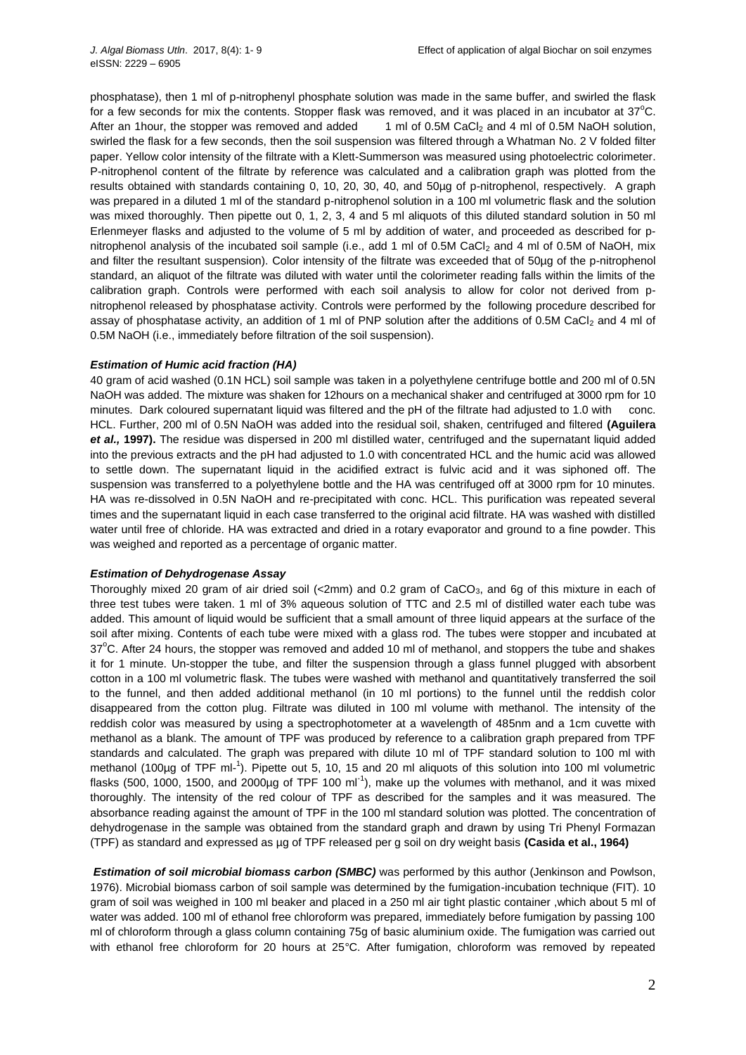phosphatase), then 1 ml of p-nitrophenyl phosphate solution was made in the same buffer, and swirled the flask for a few seconds for mix the contents. Stopper flask was removed, and it was placed in an incubator at  $37^{\circ}$ C. After an 1hour, the stopper was removed and added  $1 \text{ ml}$  of 0.5M CaCl<sub>2</sub> and 4 ml of 0.5M NaOH solution, swirled the flask for a few seconds, then the soil suspension was filtered through a Whatman No. 2 V folded filter paper. Yellow color intensity of the filtrate with a Klett-Summerson was measured using photoelectric colorimeter. P-nitrophenol content of the filtrate by reference was calculated and a calibration graph was plotted from the results obtained with standards containing 0, 10, 20, 30, 40, and 50µg of p-nitrophenol, respectively. A graph was prepared in a diluted 1 ml of the standard p-nitrophenol solution in a 100 ml volumetric flask and the solution was mixed thoroughly. Then pipette out 0, 1, 2, 3, 4 and 5 ml aliquots of this diluted standard solution in 50 ml Erlenmeyer flasks and adjusted to the volume of 5 ml by addition of water, and proceeded as described for pnitrophenol analysis of the incubated soil sample (i.e., add 1 ml of 0.5M CaCl<sub>2</sub> and 4 ml of 0.5M of NaOH, mix and filter the resultant suspension). Color intensity of the filtrate was exceeded that of 50µg of the p-nitrophenol standard, an aliquot of the filtrate was diluted with water until the colorimeter reading falls within the limits of the calibration graph. Controls were performed with each soil analysis to allow for color not derived from pnitrophenol released by phosphatase activity. Controls were performed by the following procedure described for assay of phosphatase activity, an addition of 1 ml of PNP solution after the additions of 0.5M CaCl<sub>2</sub> and 4 ml of 0.5M NaOH (i.e., immediately before filtration of the soil suspension).

# *Estimation of Humic acid fraction (HA)*

40 gram of acid washed (0.1N HCL) soil sample was taken in a polyethylene centrifuge bottle and 200 ml of 0.5N NaOH was added. The mixture was shaken for 12hours on a mechanical shaker and centrifuged at 3000 rpm for 10 minutes. Dark coloured supernatant liquid was filtered and the pH of the filtrate had adjusted to 1.0 with conc. HCL. Further, 200 ml of 0.5N NaOH was added into the residual soil, shaken, centrifuged and filtered **(Aguilera**  *et al.,* **1997).** The residue was dispersed in 200 ml distilled water, centrifuged and the supernatant liquid added into the previous extracts and the pH had adjusted to 1.0 with concentrated HCL and the humic acid was allowed to settle down. The supernatant liquid in the acidified extract is fulvic acid and it was siphoned off. The suspension was transferred to a polyethylene bottle and the HA was centrifuged off at 3000 rpm for 10 minutes. HA was re-dissolved in 0.5N NaOH and re-precipitated with conc. HCL. This purification was repeated several times and the supernatant liquid in each case transferred to the original acid filtrate. HA was washed with distilled water until free of chloride. HA was extracted and dried in a rotary evaporator and ground to a fine powder. This was weighed and reported as a percentage of organic matter.

#### *Estimation of Dehydrogenase Assay*

Thoroughly mixed 20 gram of air dried soil (<2mm) and 0.2 gram of CaCO<sub>3</sub>, and 6g of this mixture in each of three test tubes were taken. 1 ml of 3% aqueous solution of TTC and 2.5 ml of distilled water each tube was added. This amount of liquid would be sufficient that a small amount of three liquid appears at the surface of the soil after mixing. Contents of each tube were mixed with a glass rod. The tubes were stopper and incubated at 37<sup>o</sup>C. After 24 hours, the stopper was removed and added 10 ml of methanol, and stoppers the tube and shakes it for 1 minute. Un-stopper the tube, and filter the suspension through a glass funnel plugged with absorbent cotton in a 100 ml volumetric flask. The tubes were washed with methanol and quantitatively transferred the soil to the funnel, and then added additional methanol (in 10 ml portions) to the funnel until the reddish color disappeared from the cotton plug. Filtrate was diluted in 100 ml volume with methanol. The intensity of the reddish color was measured by using a spectrophotometer at a wavelength of 485nm and a 1cm cuvette with methanol as a blank. The amount of TPF was produced by reference to a calibration graph prepared from TPF standards and calculated. The graph was prepared with dilute 10 ml of TPF standard solution to 100 ml with methanol (100µg of TPF ml-<sup>1</sup>). Pipette out 5, 10, 15 and 20 ml aliquots of this solution into 100 ml volumetric flasks (500, 1000, 1500, and 2000µg of TPF 100 ml<sup>-1</sup>), make up the volumes with methanol, and it was mixed thoroughly. The intensity of the red colour of TPF as described for the samples and it was measured. The absorbance reading against the amount of TPF in the 100 ml standard solution was plotted. The concentration of dehydrogenase in the sample was obtained from the standard graph and drawn by using Tri Phenyl Formazan (TPF) as standard and expressed as µg of TPF released per g soil on dry weight basis **(Casida et al., 1964)**

*Estimation of soil microbial biomass carbon (SMBC)* was performed by this author (Jenkinson and Powlson, 1976). Microbial biomass carbon of soil sample was determined by the fumigation-incubation technique (FIT). 10 gram of soil was weighed in 100 ml beaker and placed in a 250 ml air tight plastic container ,which about 5 ml of water was added. 100 ml of ethanol free chloroform was prepared, immediately before fumigation by passing 100 ml of chloroform through a glass column containing 75g of basic aluminium oxide. The fumigation was carried out with ethanol free chloroform for 20 hours at 25°C. After fumigation, chloroform was removed by repeated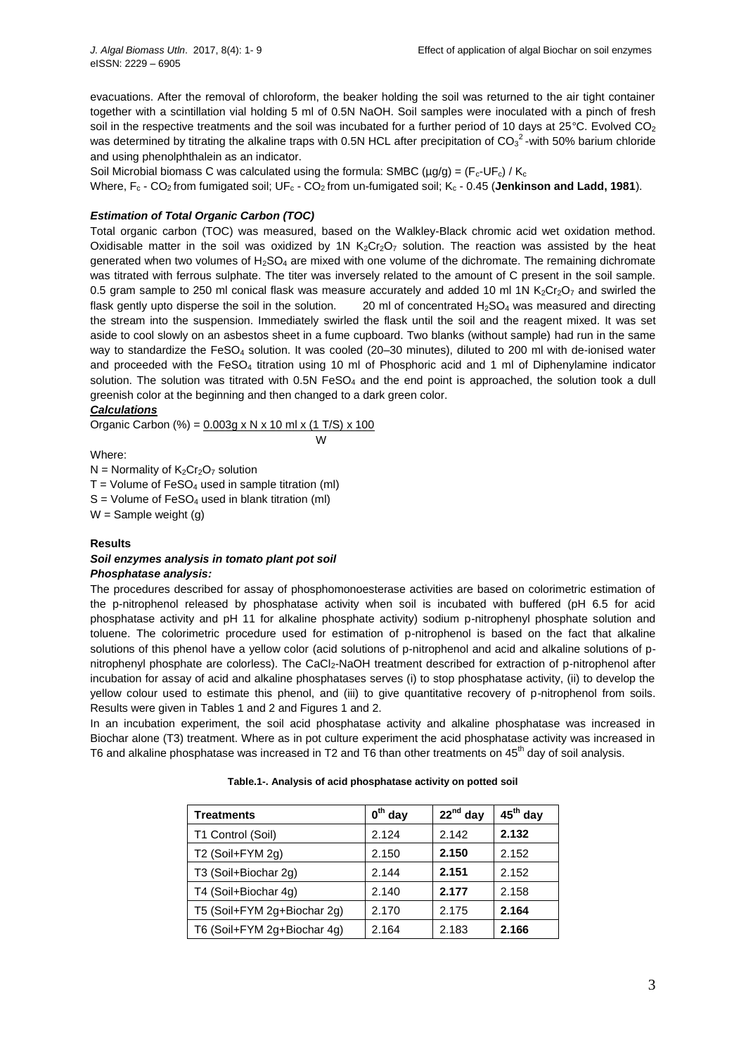evacuations. After the removal of chloroform, the beaker holding the soil was returned to the air tight container together with a scintillation vial holding 5 ml of 0.5N NaOH. Soil samples were inoculated with a pinch of fresh soil in the respective treatments and the soil was incubated for a further period of 10 days at 25 $^{\circ}$ C. Evolved CO<sub>2</sub> was determined by titrating the alkaline traps with 0.5N HCL after precipitation of CO<sub>3</sub><sup>2</sup>-with 50% barium chloride and using phenolphthalein as an indicator.

Soil Microbial biomass C was calculated using the formula: SMBC ( $\mu$ g/g) = (F<sub>c</sub>-UF<sub>c</sub>) / K<sub>c</sub>

Where, F<sub>c</sub> - CO<sub>2</sub> from fumigated soil; UF<sub>c</sub> - CO<sub>2</sub> from un-fumigated soil; K<sub>c</sub> - 0.45 (**Jenkinson and Ladd, 1981**).

# *Estimation of Total Organic Carbon (TOC)*

Total organic carbon (TOC) was measured, based on the Walkley-Black chromic acid wet oxidation method. Oxidisable matter in the soil was oxidized by 1N  $K_2Cr_2O_7$  solution. The reaction was assisted by the heat generated when two volumes of H<sub>2</sub>SO<sub>4</sub> are mixed with one volume of the dichromate. The remaining dichromate was titrated with ferrous sulphate. The titer was inversely related to the amount of C present in the soil sample. 0.5 gram sample to 250 ml conical flask was measure accurately and added 10 ml 1N  $K_2Cr_2O_7$  and swirled the flask gently upto disperse the soil in the solution.  $20 \text{ ml}$  of concentrated  $H_2$ SO<sub>4</sub> was measured and directing the stream into the suspension. Immediately swirled the flask until the soil and the reagent mixed. It was set aside to cool slowly on an asbestos sheet in a fume cupboard. Two blanks (without sample) had run in the same way to standardize the FeSO<sup>4</sup> solution. It was cooled (20–30 minutes), diluted to 200 ml with de-ionised water and proceeded with the  $FeSO<sub>4</sub>$  titration using 10 ml of Phosphoric acid and 1 ml of Diphenylamine indicator solution. The solution was titrated with  $0.5N$  FeSO<sub>4</sub> and the end point is approached, the solution took a dull greenish color at the beginning and then changed to a dark green color.

# *Calculations*

Organic Carbon (%) =  $0.003g \times N \times 10$  ml x (1 T/S) x 100 W

Where:

 $N =$  Normality of  $K_2Cr_2O_7$  solution  $T =$  Volume of FeSO<sub>4</sub> used in sample titration (ml)  $S =$  Volume of FeSO<sub>4</sub> used in blank titration (ml)  $W =$  Sample weight (g)

# **Results**

#### *Soil enzymes analysis in tomato plant pot soil Phosphatase analysis:*

The procedures described for assay of phosphomonoesterase activities are based on colorimetric estimation of the p-nitrophenol released by phosphatase activity when soil is incubated with buffered (pH 6.5 for acid phosphatase activity and pH 11 for alkaline phosphate activity) sodium p-nitrophenyl phosphate solution and toluene. The colorimetric procedure used for estimation of p-nitrophenol is based on the fact that alkaline solutions of this phenol have a yellow color (acid solutions of p-nitrophenol and acid and alkaline solutions of pnitrophenyl phosphate are colorless). The CaCl<sub>2</sub>-NaOH treatment described for extraction of p-nitrophenol after incubation for assay of acid and alkaline phosphatases serves (i) to stop phosphatase activity, (ii) to develop the yellow colour used to estimate this phenol, and (iii) to give quantitative recovery of p-nitrophenol from soils. Results were given in Tables 1 and 2 and Figures 1 and 2.

In an incubation experiment, the soil acid phosphatase activity and alkaline phosphatase was increased in Biochar alone (T3) treatment. Where as in pot culture experiment the acid phosphatase activity was increased in T6 and alkaline phosphatase was increased in T2 and T6 than other treatments on 45<sup>th</sup> day of soil analysis.

| <b>Treatments</b>           | $0^{\text{th}}$ day | $22^{nd}$ day | 45 <sup>th</sup> day |
|-----------------------------|---------------------|---------------|----------------------|
| T1 Control (Soil)           | 2.124               | 2.142         | 2.132                |
| T2 (Soil+FYM 2g)            | 2.150               | 2.150         | 2.152                |
| T3 (Soil+Biochar 2g)        | 2.144               | 2.151         | 2.152                |
| T4 (Soil+Biochar 4g)        | 2.140               | 2.177         | 2.158                |
| T5 (Soil+FYM 2g+Biochar 2g) | 2.170               | 2.175         | 2.164                |
| T6 (Soil+FYM 2g+Biochar 4g) | 2.164               | 2.183         | 2.166                |

**Table.1-. Analysis of acid phosphatase activity on potted soil**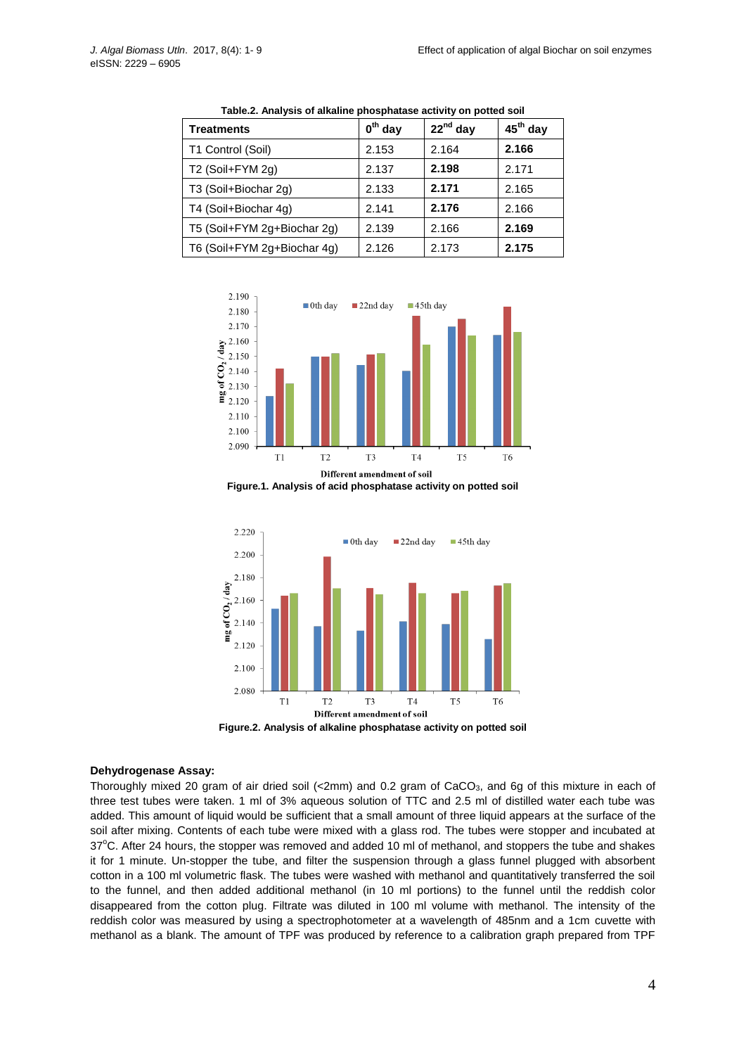| <b>Treatments</b>           | $0th$ day | $22^{nd}$ day | $45th$ day |
|-----------------------------|-----------|---------------|------------|
| T1 Control (Soil)           | 2.153     | 2.164         | 2.166      |
| T2 (Soil+FYM 2g)            | 2.137     | 2.198         | 2.171      |
| T3 (Soil+Biochar 2g)        | 2.133     | 2.171         | 2.165      |
| T4 (Soil+Biochar 4g)        | 2.141     | 2.176         | 2.166      |
| T5 (Soil+FYM 2g+Biochar 2g) | 2.139     | 2.166         | 2.169      |
| T6 (Soil+FYM 2g+Biochar 4g) | 2.126     | 2.173         | 2.175      |

**Table.2. Analysis of alkaline phosphatase activity on potted soil**



**Figure.1. Analysis of acid phosphatase activity on potted soil**



**Figure.2. Analysis of alkaline phosphatase activity on potted soil**

#### **Dehydrogenase Assay:**

Thoroughly mixed 20 gram of air dried soil (<2mm) and 0.2 gram of CaCO3, and 6g of this mixture in each of three test tubes were taken. 1 ml of 3% aqueous solution of TTC and 2.5 ml of distilled water each tube was added. This amount of liquid would be sufficient that a small amount of three liquid appears at the surface of the soil after mixing. Contents of each tube were mixed with a glass rod. The tubes were stopper and incubated at 37<sup>o</sup>C. After 24 hours, the stopper was removed and added 10 ml of methanol, and stoppers the tube and shakes it for 1 minute. Un-stopper the tube, and filter the suspension through a glass funnel plugged with absorbent cotton in a 100 ml volumetric flask. The tubes were washed with methanol and quantitatively transferred the soil to the funnel, and then added additional methanol (in 10 ml portions) to the funnel until the reddish color disappeared from the cotton plug. Filtrate was diluted in 100 ml volume with methanol. The intensity of the reddish color was measured by using a spectrophotometer at a wavelength of 485nm and a 1cm cuvette with methanol as a blank. The amount of TPF was produced by reference to a calibration graph prepared from TPF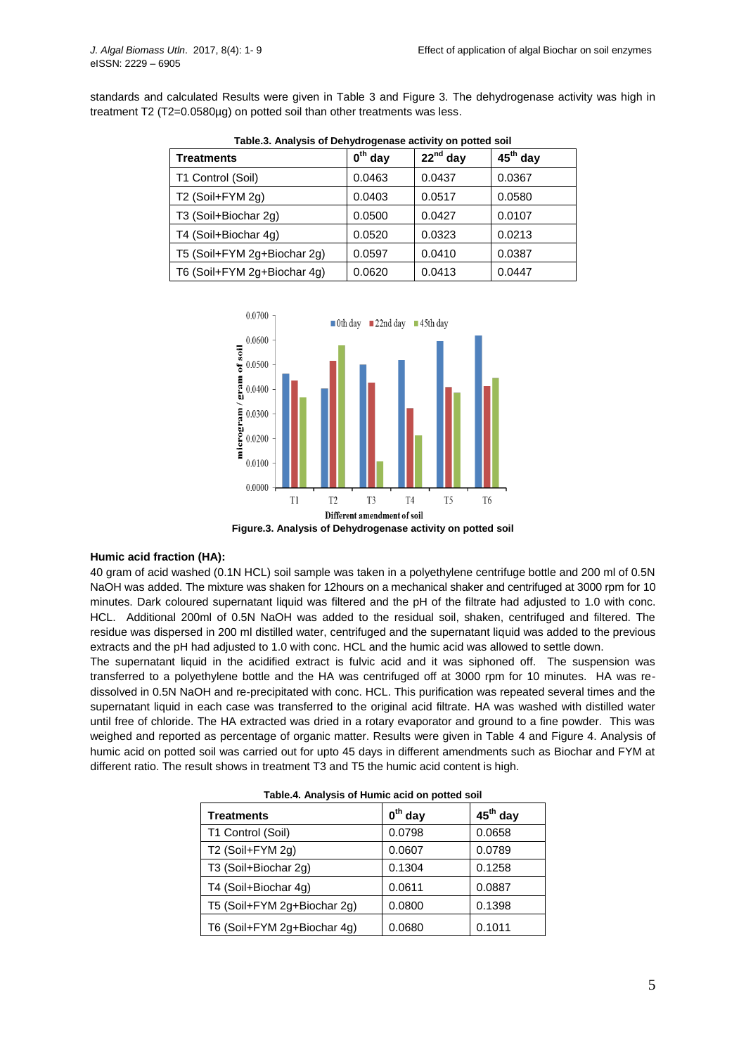standards and calculated Results were given in Table 3 and Figure 3. The dehydrogenase activity was high in treatment T2 (T2=0.0580µg) on potted soil than other treatments was less.

| <b>Treatments</b>           | $0^{\text{th}}$ day | $22^{nd}$ day | $45th$ day |
|-----------------------------|---------------------|---------------|------------|
| T1 Control (Soil)           | 0.0463              | 0.0437        | 0.0367     |
| T2 (Soil+FYM 2g)            | 0.0403              | 0.0517        | 0.0580     |
| T3 (Soil+Biochar 2g)        | 0.0500              | 0.0427        | 0.0107     |
| T4 (Soil+Biochar 4g)        | 0.0520              | 0.0323        | 0.0213     |
| T5 (Soil+FYM 2g+Biochar 2g) | 0.0597              | 0.0410        | 0.0387     |
| T6 (Soil+FYM 2g+Biochar 4g) | 0.0620              | 0.0413        | 0.0447     |

**Table.3. Analysis of Dehydrogenase activity on potted soil**



**Figure.3. Analysis of Dehydrogenase activity on potted soil**

#### **Humic acid fraction (HA):**

40 gram of acid washed (0.1N HCL) soil sample was taken in a polyethylene centrifuge bottle and 200 ml of 0.5N NaOH was added. The mixture was shaken for 12hours on a mechanical shaker and centrifuged at 3000 rpm for 10 minutes. Dark coloured supernatant liquid was filtered and the pH of the filtrate had adjusted to 1.0 with conc. HCL. Additional 200ml of 0.5N NaOH was added to the residual soil, shaken, centrifuged and filtered. The residue was dispersed in 200 ml distilled water, centrifuged and the supernatant liquid was added to the previous extracts and the pH had adjusted to 1.0 with conc. HCL and the humic acid was allowed to settle down.

The supernatant liquid in the acidified extract is fulvic acid and it was siphoned off. The suspension was transferred to a polyethylene bottle and the HA was centrifuged off at 3000 rpm for 10 minutes. HA was redissolved in 0.5N NaOH and re-precipitated with conc. HCL. This purification was repeated several times and the supernatant liquid in each case was transferred to the original acid filtrate. HA was washed with distilled water until free of chloride. The HA extracted was dried in a rotary evaporator and ground to a fine powder. This was weighed and reported as percentage of organic matter. Results were given in Table 4 and Figure 4. Analysis of humic acid on potted soil was carried out for upto 45 days in different amendments such as Biochar and FYM at different ratio. The result shows in treatment T3 and T5 the humic acid content is high.

| Table. Analysis of Humit acid on potted soil |           |            |  |
|----------------------------------------------|-----------|------------|--|
| <b>Treatments</b>                            | $0th$ day | $45th$ day |  |
| T1 Control (Soil)                            | 0.0798    | 0.0658     |  |
| T <sub>2</sub> (Soil+FYM 2g)                 | 0.0607    | 0.0789     |  |
| T3 (Soil+Biochar 2g)                         | 0.1304    | 0.1258     |  |
| T4 (Soil+Biochar 4g)                         | 0.0611    | 0.0887     |  |
| T5 (Soil+FYM 2g+Biochar 2g)                  | 0.0800    | 0.1398     |  |
| T6 (Soil+FYM 2g+Biochar 4g)                  | 0.0680    | 0.1011     |  |

|  | Table.4. Analysis of Humic acid on potted soil |  |  |
|--|------------------------------------------------|--|--|
|--|------------------------------------------------|--|--|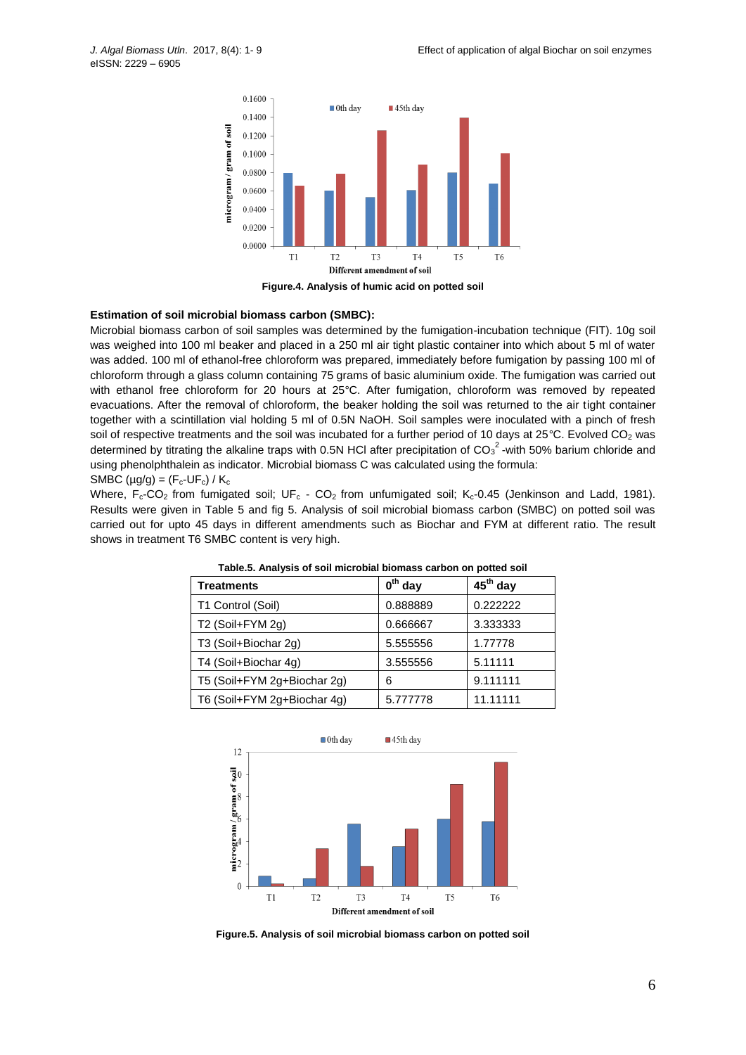

# **Estimation of soil microbial biomass carbon (SMBC):**

Microbial biomass carbon of soil samples was determined by the fumigation-incubation technique (FIT). 10g soil was weighed into 100 ml beaker and placed in a 250 ml air tight plastic container into which about 5 ml of water was added. 100 ml of ethanol-free chloroform was prepared, immediately before fumigation by passing 100 ml of chloroform through a glass column containing 75 grams of basic aluminium oxide. The fumigation was carried out with ethanol free chloroform for 20 hours at 25°C. After fumigation, chloroform was removed by repeated evacuations. After the removal of chloroform, the beaker holding the soil was returned to the air tight container together with a scintillation vial holding 5 ml of 0.5N NaOH. Soil samples were inoculated with a pinch of fresh soil of respective treatments and the soil was incubated for a further period of 10 days at 25°C. Evolved CO<sub>2</sub> was determined by titrating the alkaline traps with 0.5N HCI after precipitation of CO<sub>3</sub><sup>2</sup>-with 50% barium chloride and using phenolphthalein as indicator. Microbial biomass C was calculated using the formula:

SMBC ( $\mu$ g/g) = (F<sub>c</sub>-UF<sub>c</sub>) / K<sub>c</sub>

Where,  $F_c$ -CO<sub>2</sub> from fumigated soil; UF<sub>c</sub> - CO<sub>2</sub> from unfumigated soil; K<sub>c</sub>-0.45 (Jenkinson and Ladd, 1981). Results were given in Table 5 and fig 5. Analysis of soil microbial biomass carbon (SMBC) on potted soil was carried out for upto 45 days in different amendments such as Biochar and FYM at different ratio. The result shows in treatment T6 SMBC content is very high.

| <b>Treatments</b>           | $0th$ day | $45th$ day |
|-----------------------------|-----------|------------|
| T1 Control (Soil)           | 0.888889  | 0.222222   |
| T2 (Soil+FYM 2g)            | 0.666667  | 3.333333   |
| T3 (Soil+Biochar 2g)        | 5.555556  | 1.77778    |
| T4 (Soil+Biochar 4g)        | 3.555556  | 5.11111    |
| T5 (Soil+FYM 2g+Biochar 2g) | 6         | 9.111111   |
| T6 (Soil+FYM 2g+Biochar 4g) | 5.777778  | 11.11111   |

**Table.5. Analysis of soil microbial biomass carbon on potted soil**



**Figure.5. Analysis of soil microbial biomass carbon on potted soil**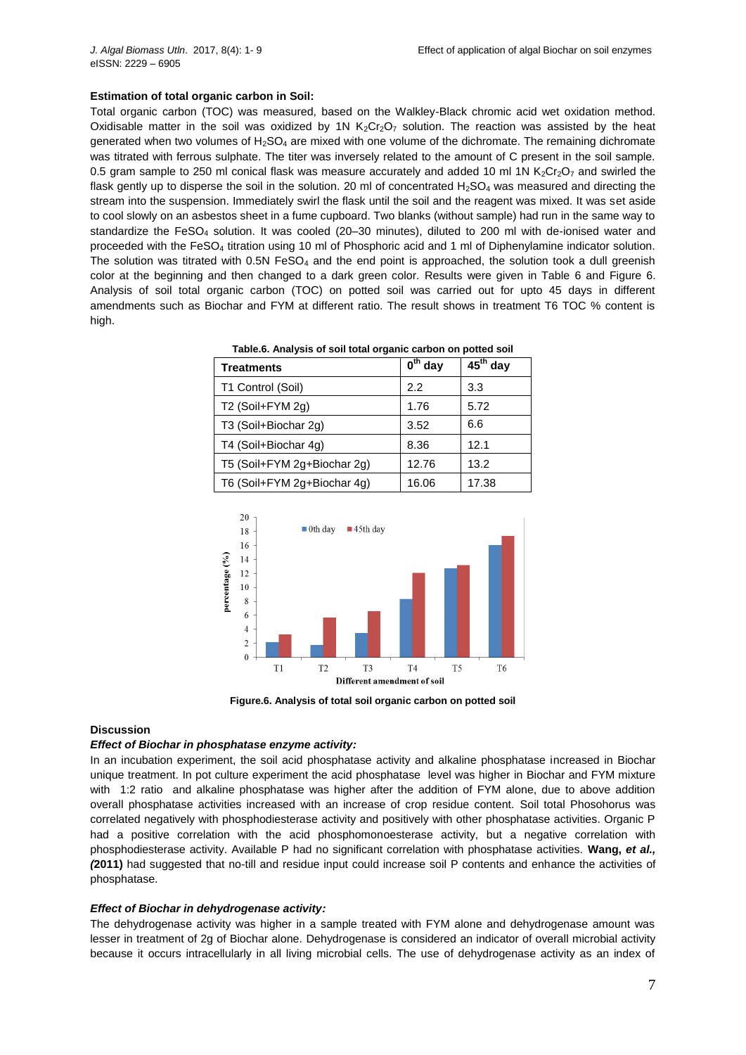#### **Estimation of total organic carbon in Soil:**

Total organic carbon (TOC) was measured, based on the Walkley-Black chromic acid wet oxidation method. Oxidisable matter in the soil was oxidized by 1N  $K_2Cr_2O_7$  solution. The reaction was assisted by the heat generated when two volumes of H<sub>2</sub>SO<sub>4</sub> are mixed with one volume of the dichromate. The remaining dichromate was titrated with ferrous sulphate. The titer was inversely related to the amount of C present in the soil sample. 0.5 gram sample to 250 ml conical flask was measure accurately and added 10 ml 1N  $K_2Cr_2O_7$  and swirled the flask gently up to disperse the soil in the solution. 20 ml of concentrated  $H_2SO_4$  was measured and directing the stream into the suspension. Immediately swirl the flask until the soil and the reagent was mixed. It was set aside to cool slowly on an asbestos sheet in a fume cupboard. Two blanks (without sample) had run in the same way to standardize the FeSO<sub>4</sub> solution. It was cooled (20–30 minutes), diluted to 200 ml with de-ionised water and proceeded with the FeSO<sub>4</sub> titration using 10 ml of Phosphoric acid and 1 ml of Diphenylamine indicator solution. The solution was titrated with  $0.5N$  FeSO<sub>4</sub> and the end point is approached, the solution took a dull greenish color at the beginning and then changed to a dark green color. Results were given in Table 6 and Figure 6. Analysis of soil total organic carbon (TOC) on potted soil was carried out for upto 45 days in different amendments such as Biochar and FYM at different ratio. The result shows in treatment T6 TOC % content is high.

| Table.6. Analysis of soil total organic carbon on potted soil |                                               |  |
|---------------------------------------------------------------|-----------------------------------------------|--|
| Treatments                                                    | $\int$ <sup>th</sup> day 45 <sup>th</sup> day |  |

| reatments                   | v<br>uay | 40.<br>uav |
|-----------------------------|----------|------------|
| T1 Control (Soil)           | 2.2      | 3.3        |
| T2 (Soil+FYM 2g)            | 1.76     | 5.72       |
| T3 (Soil+Biochar 2g)        | 3.52     | 6.6        |
| T4 (Soil+Biochar 4g)        | 8.36     | 12.1       |
| T5 (Soil+FYM 2g+Biochar 2g) | 12.76    | 13.2       |
| T6 (Soil+FYM 2g+Biochar 4g) | 16.06    | 17.38      |



**Figure.6. Analysis of total soil organic carbon on potted soil**

#### **Discussion**

#### *Effect of Biochar in phosphatase enzyme activity:*

In an incubation experiment, the soil acid phosphatase activity and alkaline phosphatase increased in Biochar unique treatment. In pot culture experiment the acid phosphatase level was higher in Biochar and FYM mixture with 1:2 ratio and alkaline phosphatase was higher after the addition of FYM alone, due to above addition overall phosphatase activities increased with an increase of crop residue content. Soil total Phosohorus was correlated negatively with phosphodiesterase activity and positively with other phosphatase activities. Organic P had a positive correlation with the acid phosphomonoesterase activity, but a negative correlation with phosphodiesterase activity. Available P had no significant correlation with phosphatase activities. **Wang,** *et al., (***2011)** had suggested that no-till and residue input could increase soil P contents and enhance the activities of phosphatase.

#### *Effect of Biochar in dehydrogenase activity:*

The dehydrogenase activity was higher in a sample treated with FYM alone and dehydrogenase amount was lesser in treatment of 2g of Biochar alone. Dehydrogenase is considered an indicator of overall microbial activity because it occurs intracellularly in all living microbial cells. The use of dehydrogenase activity as an index of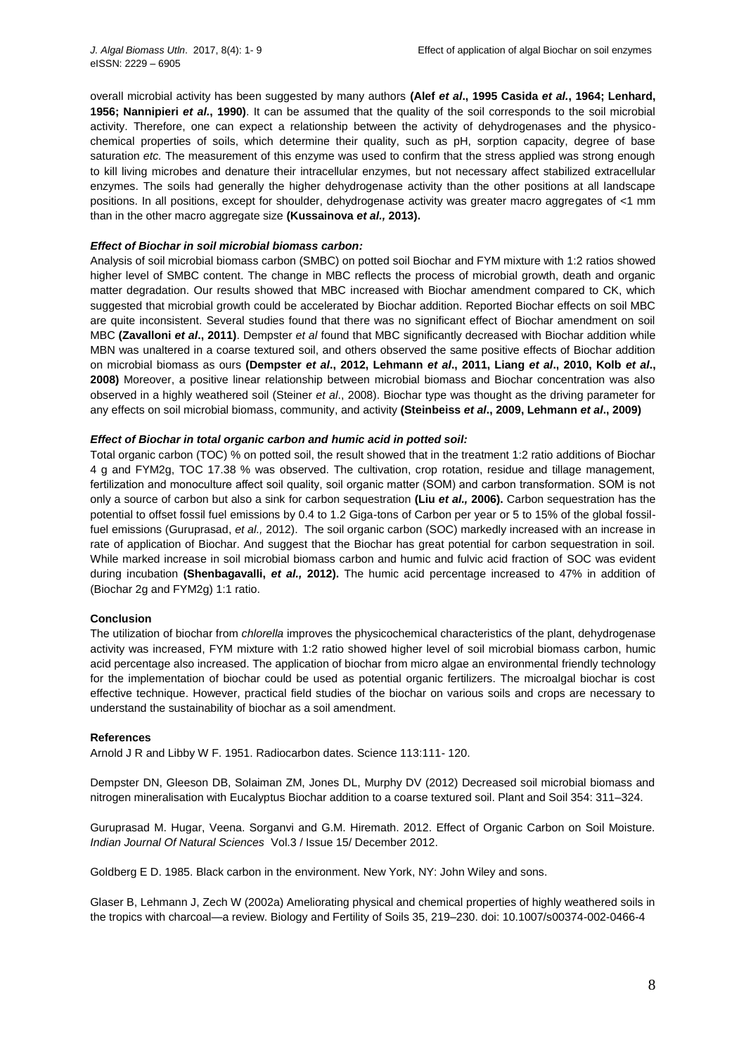overall microbial activity has been suggested by many authors **(Alef** *et al***., 1995 Casida** *et al.***, 1964; Lenhard, 1956; Nannipieri** *et al.***, 1990)**. It can be assumed that the quality of the soil corresponds to the soil microbial activity. Therefore, one can expect a relationship between the activity of dehydrogenases and the physicochemical properties of soils, which determine their quality, such as pH, sorption capacity, degree of base saturation *etc.* The measurement of this enzyme was used to confirm that the stress applied was strong enough to kill living microbes and denature their intracellular enzymes, but not necessary affect stabilized extracellular enzymes. The soils had generally the higher dehydrogenase activity than the other positions at all landscape positions. In all positions, except for shoulder, dehydrogenase activity was greater macro aggregates of <1 mm than in the other macro aggregate size **(Kussainova** *et al.,* **2013).**

### *Effect of Biochar in soil microbial biomass carbon:*

Analysis of soil microbial biomass carbon (SMBC) on potted soil Biochar and FYM mixture with 1:2 ratios showed higher level of SMBC content. The change in MBC reflects the process of microbial growth, death and organic matter degradation. Our results showed that MBC increased with Biochar amendment compared to CK, which suggested that microbial growth could be accelerated by Biochar addition. Reported Biochar effects on soil MBC are quite inconsistent. Several studies found that there was no significant effect of Biochar amendment on soil MBC **(Zavalloni** *et al***., 2011)**. Dempster *et al* found that MBC significantly decreased with Biochar addition while MBN was unaltered in a coarse textured soil, and others observed the same positive effects of Biochar addition on microbial biomass as ours **(Dempster** *et al***., 2012, Lehmann** *et al***., 2011, Liang** *et al***., 2010, Kolb** *et al***., 2008)** Moreover, a positive linear relationship between microbial biomass and Biochar concentration was also observed in a highly weathered soil (Steiner *et al*., 2008). Biochar type was thought as the driving parameter for any effects on soil microbial biomass, community, and activity **(Steinbeiss** *et al***., 2009, Lehmann** *et al***., 2009)**

# *Effect of Biochar in total organic carbon and humic acid in potted soil:*

Total organic carbon (TOC) % on potted soil, the result showed that in the treatment 1:2 ratio additions of Biochar 4 g and FYM2g, TOC 17.38 % was observed. The cultivation, crop rotation, residue and tillage management, fertilization and monoculture affect soil quality, soil organic matter (SOM) and carbon transformation. SOM is not only a source of carbon but also a sink for carbon sequestration **(Liu** *et al.,* **2006).** Carbon sequestration has the potential to offset fossil fuel emissions by 0.4 to 1.2 Giga-tons of Carbon per year or 5 to 15% of the global fossilfuel emissions (Guruprasad, *et al.,* 2012). The soil organic carbon (SOC) markedly increased with an increase in rate of application of Biochar. And suggest that the Biochar has great potential for carbon sequestration in soil. While marked increase in soil microbial biomass carbon and humic and fulvic acid fraction of SOC was evident during incubation **(Shenbagavalli,** *et al.,* **2012).** The humic acid percentage increased to 47% in addition of (Biochar 2g and FYM2g) 1:1 ratio.

# **Conclusion**

The utilization of biochar from *chlorella* improves the physicochemical characteristics of the plant, dehydrogenase activity was increased, FYM mixture with 1:2 ratio showed higher level of soil microbial biomass carbon, humic acid percentage also increased. The application of biochar from micro algae an environmental friendly technology for the implementation of biochar could be used as potential organic fertilizers. The microalgal biochar is cost effective technique. However, practical field studies of the biochar on various soils and crops are necessary to understand the sustainability of biochar as a soil amendment.

#### **References**

Arnold J R and Libby W F. 1951. Radiocarbon dates. Science 113:111- 120.

Dempster DN, Gleeson DB, Solaiman ZM, Jones DL, Murphy DV (2012) Decreased soil microbial biomass and nitrogen mineralisation with Eucalyptus Biochar addition to a coarse textured soil. Plant and Soil 354: 311–324.

Guruprasad M. Hugar, Veena. Sorganvi and G.M. Hiremath. 2012. Effect of Organic Carbon on Soil Moisture. *Indian Journal Of Natural Sciences* Vol.3 / Issue 15/ December 2012.

Goldberg E D. 1985. Black carbon in the environment. New York, NY: John Wiley and sons.

Glaser B, Lehmann J, Zech W (2002a) Ameliorating physical and chemical properties of highly weathered soils in the tropics with charcoal—a review. Biology and Fertility of Soils 35, 219–230. doi: 10.1007/s00374-002-0466-4